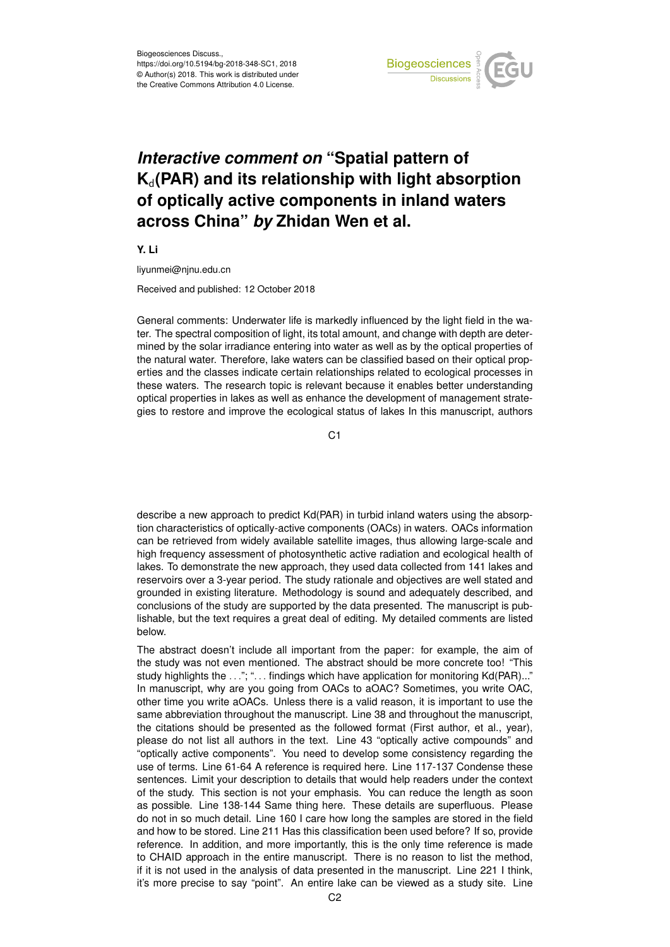

## *Interactive comment on* **"Spatial pattern of K**d**(PAR) and its relationship with light absorption of optically active components in inland waters across China"** *by* **Zhidan Wen et al.**

**Y. Li**

liyunmei@njnu.edu.cn

Received and published: 12 October 2018

General comments: Underwater life is markedly influenced by the light field in the water. The spectral composition of light, its total amount, and change with depth are determined by the solar irradiance entering into water as well as by the optical properties of the natural water. Therefore, lake waters can be classified based on their optical properties and the classes indicate certain relationships related to ecological processes in these waters. The research topic is relevant because it enables better understanding optical properties in lakes as well as enhance the development of management strategies to restore and improve the ecological status of lakes In this manuscript, authors

 $C<sub>1</sub>$ 

describe a new approach to predict Kd(PAR) in turbid inland waters using the absorption characteristics of optically-active components (OACs) in waters. OACs information can be retrieved from widely available satellite images, thus allowing large-scale and high frequency assessment of photosynthetic active radiation and ecological health of lakes. To demonstrate the new approach, they used data collected from 141 lakes and reservoirs over a 3-year period. The study rationale and objectives are well stated and grounded in existing literature. Methodology is sound and adequately described, and conclusions of the study are supported by the data presented. The manuscript is publishable, but the text requires a great deal of editing. My detailed comments are listed below.

The abstract doesn't include all important from the paper: for example, the aim of the study was not even mentioned. The abstract should be more concrete too! "This study highlights the ..."; "... findings which have application for monitoring Kd(PAR)..." In manuscript, why are you going from OACs to aOAC? Sometimes, you write OAC, other time you write aOACs. Unless there is a valid reason, it is important to use the same abbreviation throughout the manuscript. Line 38 and throughout the manuscript, the citations should be presented as the followed format (First author, et al., year), please do not list all authors in the text. Line 43 "optically active compounds" and "optically active components". You need to develop some consistency regarding the use of terms. Line 61-64 A reference is required here. Line 117-137 Condense these sentences. Limit your description to details that would help readers under the context of the study. This section is not your emphasis. You can reduce the length as soon as possible. Line 138-144 Same thing here. These details are superfluous. Please do not in so much detail. Line 160 I care how long the samples are stored in the field and how to be stored. Line 211 Has this classification been used before? If so, provide reference. In addition, and more importantly, this is the only time reference is made to CHAID approach in the entire manuscript. There is no reason to list the method, if it is not used in the analysis of data presented in the manuscript. Line 221 I think, it's more precise to say "point". An entire lake can be viewed as a study site. Line